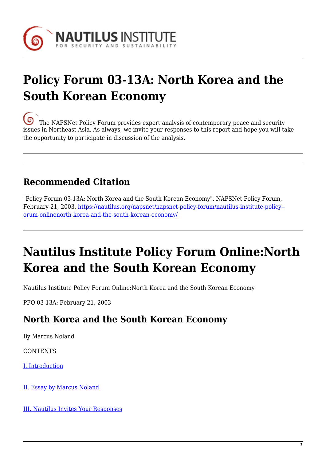

# **Policy Forum 03-13A: North Korea and the South Korean Economy**

[T](https://nautilus.org/wp-content/uploads/2013/05/nautilus-logo-small.png)he NAPSNet Policy Forum provides expert analysis of contemporary peace and security issues in Northeast Asia. As always, we invite your responses to this report and hope you will take the opportunity to participate in discussion of the analysis.

## **Recommended Citation**

"Policy Forum 03-13A: North Korea and the South Korean Economy", NAPSNet Policy Forum, February 21, 2003, [https://nautilus.org/napsnet/napsnet-policy-forum/nautilus-institute-policy-](https://nautilus.org/napsnet/napsnet-policy-forum/nautilus-institute-policy-forum-onlinenorth-korea-and-the-south-korean-economy/) [orum-onlinenorth-korea-and-the-south-korean-economy/](https://nautilus.org/napsnet/napsnet-policy-forum/nautilus-institute-policy-forum-onlinenorth-korea-and-the-south-korean-economy/)

# **Nautilus Institute Policy Forum Online:North Korea and the South Korean Economy**

Nautilus Institute Policy Forum Online:North Korea and the South Korean Economy

PFO 03-13A: February 21, 2003

#### **North Korea and the South Korean Economy**

By Marcus Noland

**CONTENTS** 

[I. Introduction](#page-0-0)

[II. Essay by Marcus Noland](#page-1-0)

<span id="page-0-0"></span>[III. Nautilus Invites Your Responses](#page-5-0)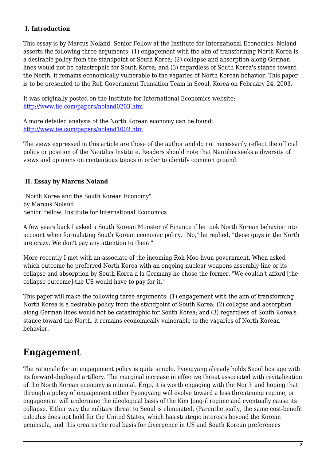#### **I. Introduction**

This essay is by Marcus Noland, Senior Fellow at the Institute for International Economics. Noland asserts the following three arguments: (1) engagement with the aim of transforming North Korea is a desirable policy from the standpoint of South Korea; (2) collapse and absorption along German lines would not be catastrophic for South Korea; and (3) regardless of South Korea's stance toward the North, it remains economically vulnerable to the vagaries of North Korean behavior. This paper is to be presented to the Roh Government Transition Team in Seoul, Korea on February 24, 2003.

It was originally posted on the Institute for International Economics website: <http://www.iie.com/papers/noland0203.htm>

A more detailed analysis of the North Korean economy can be found: <http://www.iie.com/papers/noland1002.htm>

The views expressed in this article are those of the author and do not necessarily reflect the official policy or position of the Nautilus Institute. Readers should note that Nautilus seeks a diversity of views and opinions on contentious topics in order to identify common ground.

#### <span id="page-1-0"></span> **II. Essay by Marcus Noland**

"North Korea and the South Korean Economy" by Marcus Noland Senior Fellow, Institute for International Economics

A few years back I asked a South Korean Minister of Finance if he took North Korean behavior into account when formulating South Korean economic policy. "No," he replied, "those guys in the North are crazy. We don't pay any attention to them."

More recently I met with an associate of the incoming Roh Moo-hyun government. When asked which outcome he preferred-North Korea with an ongoing nuclear weapons assembly line or its collapse and absorption by South Korea a la Germany-he chose the former. "We couldn't afford [the collapse outcome]-the US would have to pay for it."

This paper will make the following three arguments: (1) engagement with the aim of transforming North Korea is a desirable policy from the standpoint of South Korea; (2) collapse and absorption along German lines would not be catastrophic for South Korea; and (3) regardless of South Korea's stance toward the North, it remains economically vulnerable to the vagaries of North Korean behavior.

### **Engagement**

The rationale for an engagement policy is quite simple. Pyongyang already holds Seoul hostage with its forward-deployed artillery. The marginal increase in effective threat associated with revitalization of the North Korean economy is minimal. Ergo, it is worth engaging with the North and hoping that through a policy of engagement either Pyongyang will evolve toward a less threatening regime, or engagement will undermine the ideological basis of the Kim Jong-il regime and eventually cause its collapse. Either way the military threat to Seoul is eliminated. (Parenthetically, the same cost-benefit calculus does not hold for the United States, which has strategic interests beyond the Korean peninsula, and this creates the real basis for divergence in US and South Korean preferences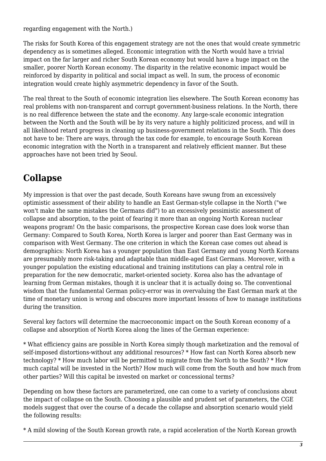regarding engagement with the North.)

The risks for South Korea of this engagement strategy are not the ones that would create symmetric dependency as is sometimes alleged. Economic integration with the North would have a trivial impact on the far larger and richer South Korean economy but would have a huge impact on the smaller, poorer North Korean economy. The disparity in the relative economic impact would be reinforced by disparity in political and social impact as well. In sum, the process of economic integration would create highly asymmetric dependency in favor of the South.

The real threat to the South of economic integration lies elsewhere. The South Korean economy has real problems with non-transparent and corrupt government-business relations. In the North, there is no real difference between the state and the economy. Any large-scale economic integration between the North and the South will be by its very nature a highly politicized process, and will in all likelihood retard progress in cleaning up business-government relations in the South. This does not have to be: There are ways, through the tax code for example, to encourage South Korean economic integration with the North in a transparent and relatively efficient manner. But these approaches have not been tried by Seoul.

### **Collapse**

My impression is that over the past decade, South Koreans have swung from an excessively optimistic assessment of their ability to handle an East German-style collapse in the North ("we won't make the same mistakes the Germans did") to an excessively pessimistic assessment of collapse and absorption, to the point of fearing it more than an ongoing North Korean nuclear weapons program! On the basic comparisons, the prospective Korean case does look worse than Germany: Compared to South Korea, North Korea is larger and poorer than East Germany was in comparison with West Germany. The one criterion in which the Korean case comes out ahead is demographics: North Korea has a younger population than East Germany and young North Koreans are presumably more risk-taking and adaptable than middle-aged East Germans. Moreover, with a younger population the existing educational and training institutions can play a central role in preparation for the new democratic, market-oriented society. Korea also has the advantage of learning from German mistakes, though it is unclear that it is actually doing so. The conventional wisdom that the fundamental German policy-error was in overvaluing the East German mark at the time of monetary union is wrong and obscures more important lessons of how to manage institutions during the transition.

Several key factors will determine the macroeconomic impact on the South Korean economy of a collapse and absorption of North Korea along the lines of the German experience:

\* What efficiency gains are possible in North Korea simply though marketization and the removal of self-imposed distortions-without any additional resources? \* How fast can North Korea absorb new technology? \* How much labor will be permitted to migrate from the North to the South? \* How much capital will be invested in the North? How much will come from the South and how much from other parties? Will this capital be invested on market or concessional terms?

Depending on how these factors are parameterized, one can come to a variety of conclusions about the impact of collapse on the South. Choosing a plausible and prudent set of parameters, the CGE models suggest that over the course of a decade the collapse and absorption scenario would yield the following results:

\* A mild slowing of the South Korean growth rate, a rapid acceleration of the North Korean growth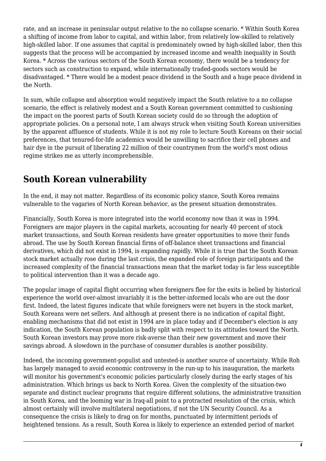rate, and an increase in peninsular output relative to the no collapse scenario. \* Within South Korea a shifting of income from labor to capital, and within labor, from relatively low-skilled to relatively high-skilled labor. If one assumes that capital is predominately owned by high-skilled labor, then this suggests that the process will be accompanied by increased income and wealth inequality in South Korea. \* Across the various sectors of the South Korean economy, there would be a tendency for sectors such as construction to expand, while internationally traded-goods sectors would be disadvantaged. \* There would be a modest peace dividend in the South and a huge peace dividend in the North.

In sum, while collapse and absorption would negatively impact the South relative to a no collapse scenario, the effect is relatively modest and a South Korean government committed to cushioning the impact on the poorest parts of South Korean society could do so through the adoption of appropriate policies. On a personal note, I am always struck when visiting South Korean universities by the apparent affluence of students. While it is not my role to lecture South Koreans on their social preferences, that tenured-for-life academics would be unwilling to sacrifice their cell phones and hair dye in the pursuit of liberating 22 million of their countrymen from the world's most odious regime strikes me as utterly incomprehensible.

### **South Korean vulnerability**

In the end, it may not matter. Regardless of its economic policy stance, South Korea remains vulnerable to the vagaries of North Korean behavior, as the present situation demonstrates.

Financially, South Korea is more integrated into the world economy now than it was in 1994. Foreigners are major players in the capital markets, accounting for nearly 40 percent of stock market transactions, and South Korean residents have greater opportunities to move their funds abroad. The use by South Korean financial firms of off-balance sheet transactions and financial derivatives, which did not exist in 1994, is expanding rapidly. While it is true that the South Korean stock market actually rose during the last crisis, the expanded role of foreign participants and the increased complexity of the financial transactions mean that the market today is far less susceptible to political intervention than it was a decade ago.

The popular image of capital flight occurring when foreigners flee for the exits is belied by historical experience the world over-almost invariably it is the better-informed locals who are out the door first. Indeed, the latest figures indicate that while foreigners were net buyers in the stock market, South Koreans were net sellers. And although at present there is no indication of capital flight, enabling mechanisms that did not exist in 1994 are in place today and if December's election is any indication, the South Korean population is badly split with respect to its attitudes toward the North. South Korean investors may prove more risk-averse than their new government and move their savings abroad. A slowdown in the purchase of consumer durables is another possibility.

Indeed, the incoming government-populist and untested-is another source of uncertainty. While Roh has largely managed to avoid economic controversy in the run-up to his inauguration, the markets will monitor his government's economic policies particularly closely during the early stages of his administration. Which brings us back to North Korea. Given the complexity of the situation-two separate and distinct nuclear programs that require different solutions, the administrative transition in South Korea, and the looming war in Iraq-all point to a protracted resolution of the crisis, which almost certainly will involve multilateral negotiations, if not the UN Security Council. As a consequence the crisis is likely to drag on for months, punctuated by intermittent periods of heightened tensions. As a result, South Korea is likely to experience an extended period of market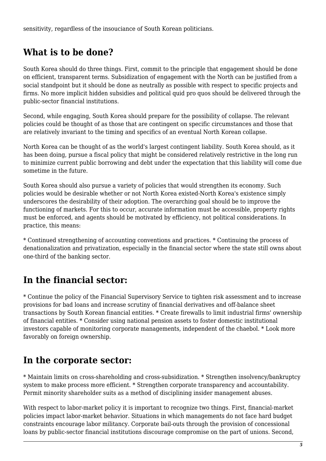sensitivity, regardless of the insouciance of South Korean politicians.

### **What is to be done?**

South Korea should do three things. First, commit to the principle that engagement should be done on efficient, transparent terms. Subsidization of engagement with the North can be justified from a social standpoint but it should be done as neutrally as possible with respect to specific projects and firms. No more implicit hidden subsidies and political quid pro quos should be delivered through the public-sector financial institutions.

Second, while engaging, South Korea should prepare for the possibility of collapse. The relevant policies could be thought of as those that are contingent on specific circumstances and those that are relatively invariant to the timing and specifics of an eventual North Korean collapse.

North Korea can be thought of as the world's largest contingent liability. South Korea should, as it has been doing, pursue a fiscal policy that might be considered relatively restrictive in the long run to minimize current public borrowing and debt under the expectation that this liability will come due sometime in the future.

South Korea should also pursue a variety of policies that would strengthen its economy. Such policies would be desirable whether or not North Korea existed-North Korea's existence simply underscores the desirability of their adoption. The overarching goal should be to improve the functioning of markets. For this to occur, accurate information must be accessible, property rights must be enforced, and agents should be motivated by efficiency, not political considerations. In practice, this means:

\* Continued strengthening of accounting conventions and practices. \* Continuing the process of denationalization and privatization, especially in the financial sector where the state still owns about one-third of the banking sector.

### **In the financial sector:**

\* Continue the policy of the Financial Supervisory Service to tighten risk assessment and to increase provisions for bad loans and increase scrutiny of financial derivatives and off-balance sheet transactions by South Korean financial entities. \* Create firewalls to limit industrial firms' ownership of financial entities. \* Consider using national pension assets to foster domestic institutional investors capable of monitoring corporate managements, independent of the chaebol. \* Look more favorably on foreign ownership.

### **In the corporate sector:**

\* Maintain limits on cross-shareholding and cross-subsidization. \* Strengthen insolvency/bankruptcy system to make process more efficient. \* Strengthen corporate transparency and accountability. Permit minority shareholder suits as a method of disciplining insider management abuses.

With respect to labor-market policy it is important to recognize two things. First, financial-market policies impact labor-market behavior. Situations in which managements do not face hard budget constraints encourage labor militancy. Corporate bail-outs through the provision of concessional loans by public-sector financial institutions discourage compromise on the part of unions. Second,